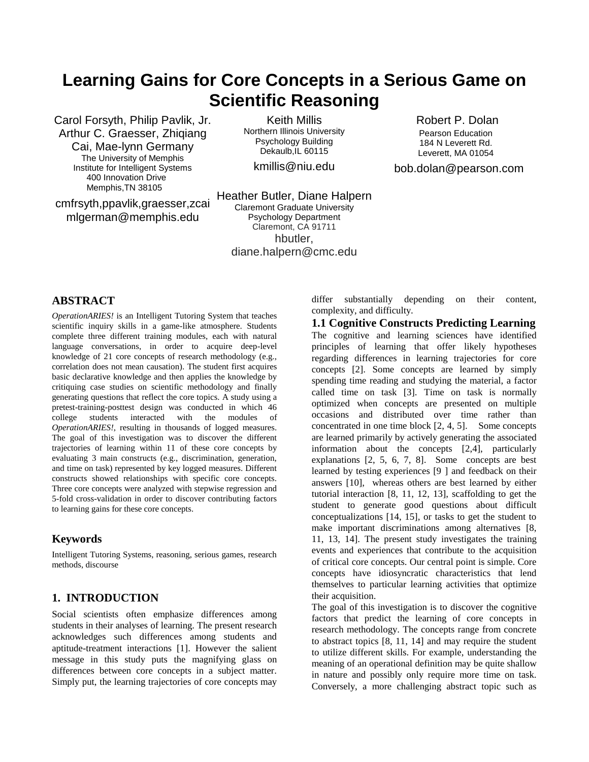# **Learning Gains for Core Concepts in a Serious Game on Scientific Reasoning**

Carol Forsyth, Philip Pavlik, Jr. Arthur C. Graesser, Zhiqiang Cai, Mae-lynn Germany The University of Memphis Institute for Intelligent Systems 400 Innovation Drive Memphis,TN 38105

cmfrsyth,ppavlik,graesser,zcai mlgerman@memphis.edu

Keith Millis Northern Illinois University Psychology Building Dekaulb, IL 60115

kmillis@niu.edu

Heather Butler, Diane Halpern Claremont Graduate University Psychology Department Claremont, CA 91711 hbutler, diane.halpern@cmc.edu

# **ABSTRACT**

*OperationARIES!* is an Intelligent Tutoring System that teaches scientific inquiry skills in a game-like atmosphere. Students complete three different training modules, each with natural language conversations, in order to acquire deep-level knowledge of 21 core concepts of research methodology (e.g., correlation does not mean causation). The student first acquires basic declarative knowledge and then applies the knowledge by critiquing case studies on scientific methodology and finally generating questions that reflect the core topics. A study using a pretest-training-posttest design was conducted in which 46 college students interacted with the modules of *OperationARIES!*, resulting in thousands of logged measures. The goal of this investigation was to discover the different trajectories of learning within 11 of these core concepts by evaluating 3 main constructs (e.g., discrimination, generation, and time on task) represented by key logged measures. Different constructs showed relationships with specific core concepts. Three core concepts were analyzed with stepwise regression and 5-fold cross-validation in order to discover contributing factors to learning gains for these core concepts.

# **Keywords**

Intelligent Tutoring Systems, reasoning, serious games, research methods, discourse

# **1. INTRODUCTION**

Social scientists often emphasize differences among students in their analyses of learning. The present research acknowledges such differences among students and aptitude-treatment interactions [1]. However the salient message in this study puts the magnifying glass on differences between core concepts in a subject matter. Simply put, the learning trajectories of core concepts may differ substantially depending on their content, complexity, and difficulty.

**1.1 Cognitive Constructs Predicting Learning**  The cognitive and learning sciences have identified principles of learning that offer likely hypotheses regarding differences in learning trajectories for core concepts [2]. Some concepts are learned by simply spending time reading and studying the material, a factor called time on task [3]. Time on task is normally optimized when concepts are presented on multiple occasions and distributed over time rather than concentrated in one time block [2, 4, 5]. Some concepts are learned primarily by actively generating the associated information about the concepts [2,4], particularly explanations [2, 5, 6, 7, 8]. Some concepts are best learned by testing experiences [9 ] and feedback on their answers [10], whereas others are best learned by either tutorial interaction [8, 11, 12, 13], scaffolding to get the student to generate good questions about difficult conceptualizations [14, 15], or tasks to get the student to make important discriminations among alternatives [8, 11, 13, 14]. The present study investigates the training events and experiences that contribute to the acquisition of critical core concepts. Our central point is simple. Core concepts have idiosyncratic characteristics that lend themselves to particular learning activities that optimize their acquisition.

The goal of this investigation is to discover the cognitive factors that predict the learning of core concepts in research methodology. The concepts range from concrete to abstract topics [8, 11, 14] and may require the student to utilize different skills. For example, understanding the meaning of an operational definition may be quite shallow in nature and possibly only require more time on task. Conversely, a more challenging abstract topic such as

Robert P. Dolan Pearson Education 184 N Leverett Rd. Leverett, MA 01054

bob.dolan@pearson.com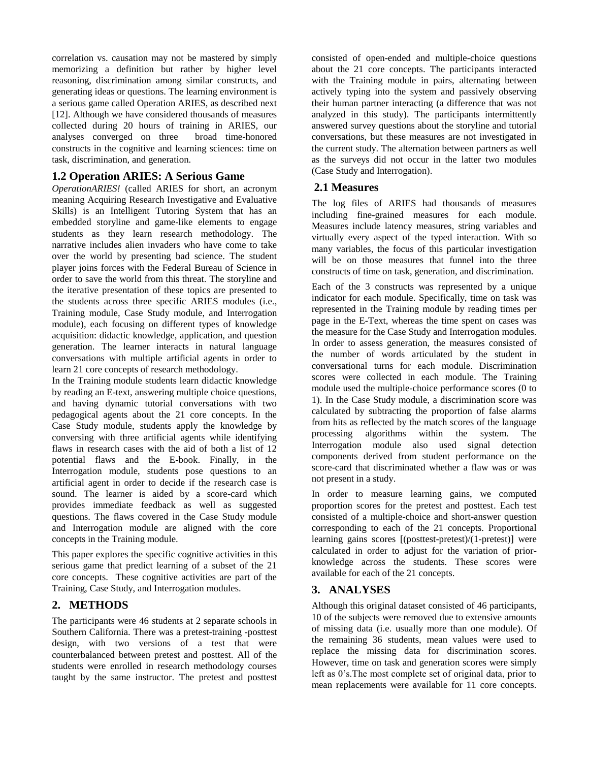correlation vs. causation may not be mastered by simply memorizing a definition but rather by higher level reasoning, discrimination among similar constructs, and generating ideas or questions. The learning environment is a serious game called Operation ARIES, as described next [12]. Although we have considered thousands of measures collected during 20 hours of training in ARIES, our analyses converged on three broad time-honored constructs in the cognitive and learning sciences: time on task, discrimination, and generation.

# **1.2 Operation ARIES: A Serious Game**

*OperationARIES!* (called ARIES for short, an acronym meaning Acquiring Research Investigative and Evaluative Skills) is an Intelligent Tutoring System that has an embedded storyline and game-like elements to engage students as they learn research methodology. The narrative includes alien invaders who have come to take over the world by presenting bad science. The student player joins forces with the Federal Bureau of Science in order to save the world from this threat. The storyline and the iterative presentation of these topics are presented to the students across three specific ARIES modules (i.e., Training module, Case Study module, and Interrogation module), each focusing on different types of knowledge acquisition: didactic knowledge, application, and question generation. The learner interacts in natural language conversations with multiple artificial agents in order to learn 21 core concepts of research methodology.

In the Training module students learn didactic knowledge by reading an E-text, answering multiple choice questions, and having dynamic tutorial conversations with two pedagogical agents about the 21 core concepts. In the Case Study module, students apply the knowledge by conversing with three artificial agents while identifying flaws in research cases with the aid of both a list of 12 potential flaws and the E-book. Finally, in the Interrogation module, students pose questions to an artificial agent in order to decide if the research case is sound. The learner is aided by a score-card which provides immediate feedback as well as suggested questions. The flaws covered in the Case Study module and Interrogation module are aligned with the core concepts in the Training module.

This paper explores the specific cognitive activities in this serious game that predict learning of a subset of the 21 core concepts. These cognitive activities are part of the Training, Case Study, and Interrogation modules.

# **2. METHODS**

The participants were 46 students at 2 separate schools in Southern California. There was a pretest-training -posttest design, with two versions of a test that were counterbalanced between pretest and posttest. All of the students were enrolled in research methodology courses taught by the same instructor. The pretest and posttest consisted of open-ended and multiple-choice questions about the 21 core concepts. The participants interacted with the Training module in pairs, alternating between actively typing into the system and passively observing their human partner interacting (a difference that was not analyzed in this study). The participants intermittently answered survey questions about the storyline and tutorial conversations, but these measures are not investigated in the current study. The alternation between partners as well as the surveys did not occur in the latter two modules (Case Study and Interrogation).

# **2.1 Measures**

The log files of ARIES had thousands of measures including fine-grained measures for each module. Measures include latency measures, string variables and virtually every aspect of the typed interaction. With so many variables, the focus of this particular investigation will be on those measures that funnel into the three constructs of time on task, generation, and discrimination.

Each of the 3 constructs was represented by a unique indicator for each module. Specifically, time on task was represented in the Training module by reading times per page in the E-Text, whereas the time spent on cases was the measure for the Case Study and Interrogation modules. In order to assess generation, the measures consisted of the number of words articulated by the student in conversational turns for each module. Discrimination scores were collected in each module. The Training module used the multiple-choice performance scores (0 to 1). In the Case Study module, a discrimination score was calculated by subtracting the proportion of false alarms from hits as reflected by the match scores of the language processing algorithms within the system. The Interrogation module also used signal detection components derived from student performance on the score-card that discriminated whether a flaw was or was not present in a study.

In order to measure learning gains, we computed proportion scores for the pretest and posttest. Each test consisted of a multiple-choice and short-answer question corresponding to each of the 21 concepts. Proportional learning gains scores [(posttest-pretest)/(1-pretest)] were calculated in order to adjust for the variation of priorknowledge across the students. These scores were available for each of the 21 concepts.

# **3. ANALYSES**

Although this original dataset consisted of 46 participants, 10 of the subjects were removed due to extensive amounts of missing data (i.e. usually more than one module). Of the remaining 36 students, mean values were used to replace the missing data for discrimination scores. However, time on task and generation scores were simply left as 0's.The most complete set of original data, prior to mean replacements were available for 11 core concepts.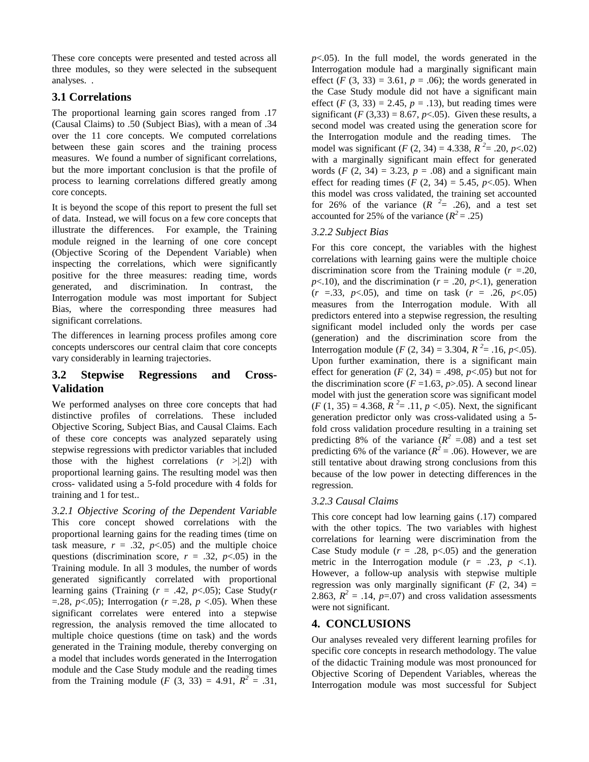These core concepts were presented and tested across all three modules, so they were selected in the subsequent analyses. .

# **3.1 Correlations**

The proportional learning gain scores ranged from .17 (Causal Claims) to .50 (Subject Bias), with a mean of .34 over the 11 core concepts. We computed correlations between these gain scores and the training process measures. We found a number of significant correlations, but the more important conclusion is that the profile of process to learning correlations differed greatly among core concepts.

It is beyond the scope of this report to present the full set of data. Instead, we will focus on a few core concepts that illustrate the differences. For example, the Training module reigned in the learning of one core concept (Objective Scoring of the Dependent Variable) when inspecting the correlations, which were significantly positive for the three measures: reading time, words generated, and discrimination. In contrast, the Interrogation module was most important for Subject Bias, where the corresponding three measures had significant correlations.

The differences in learning process profiles among core concepts underscores our central claim that core concepts vary considerably in learning trajectories.

# **3.2 Stepwise Regressions and Cross-Validation**

We performed analyses on three core concepts that had distinctive profiles of correlations. These included Objective Scoring, Subject Bias, and Causal Claims. Each of these core concepts was analyzed separately using stepwise regressions with predictor variables that included those with the highest correlations  $(r > |.2|)$  with proportional learning gains. The resulting model was then cross- validated using a 5-fold procedure with 4 folds for training and 1 for test..

*3.2.1 Objective Scoring of the Dependent Variable* This core concept showed correlations with the proportional learning gains for the reading times (time on task measure,  $r = .32$ ,  $p < .05$ ) and the multiple choice questions (discrimination score,  $r = .32$ ,  $p < .05$ ) in the Training module. In all 3 modules, the number of words generated significantly correlated with proportional learning gains (Training  $(r = .42, p < .05)$ ; Case Study(*r*)  $=$ .28, *p*<.05); Interrogation (*r* =.28, *p* <.05). When these significant correlates were entered into a stepwise regression, the analysis removed the time allocated to multiple choice questions (time on task) and the words generated in the Training module, thereby converging on a model that includes words generated in the Interrogation module and the Case Study module and the reading times from the Training module (*F* (3, 33) = 4.91,  $R^2 = .31$ ,

 $p<.05$ ). In the full model, the words generated in the Interrogation module had a marginally significant main effect  $(F(3, 33) = 3.61, p = .06)$ ; the words generated in the Case Study module did not have a significant main effect  $(F (3, 33) = 2.45, p = .13)$ , but reading times were significant  $(F(3,33) = 8.67, p<0.05)$ . Given these results, a second model was created using the generation score for the Interrogation module and the reading times. The model was significant (*F* (2, 34) = 4.338,  $\overline{R}^2$  = .20, *p* <.02) with a marginally significant main effect for generated words  $(F (2, 34) = 3.23, p = .08)$  and a significant main effect for reading times  $(F (2, 34) = 5.45, p < 0.05)$ . When this model was cross validated, the training set accounted for 26% of the variance  $(R<sup>2</sup>= .26)$ , and a test set accounted for 25% of the variance  $(R^2 = .25)$ 

#### *3.2.2 Subject Bias*

For this core concept, the variables with the highest correlations with learning gains were the multiple choice discrimination score from the Training module (*r =*.20,  $p<.10$ ), and the discrimination ( $r = .20$ ,  $p<.1$ ), generation  $(r = .33, p < .05)$ , and time on task  $(r = .26, p < .05)$ measures from the Interrogation module. With all predictors entered into a stepwise regression, the resulting significant model included only the words per case (generation) and the discrimination score from the Interrogation module (*F* (2, 34) = 3.304,  $R^2$  = .16, *p* < .05). Upon further examination, there is a significant main effect for generation  $(F(2, 34) = .498, p < .05)$  but not for the discrimination score  $(F=1.63, p>0.05)$ . A second linear model with just the generation score was significant model  $(F (1, 35) = 4.368, R^2 = .11, p < .05)$ . Next, the significant generation predictor only was cross-validated using a 5 fold cross validation procedure resulting in a training set predicting 8% of the variance  $(R^2 = .08)$  and a test set predicting 6% of the variance ( $R^2 = .06$ ). However, we are still tentative about drawing strong conclusions from this because of the low power in detecting differences in the regression.

# *3.2.3 Causal Claims*

This core concept had low learning gains (.17) compared with the other topics. The two variables with highest correlations for learning were discrimination from the Case Study module  $(r = .28, p < .05)$  and the generation metric in the Interrogation module  $(r = .23, p < .1)$ . However, a follow-up analysis with stepwise multiple regression was only marginally significant  $(F(2, 34) =$ 2.863,  $R^2 = .14$ ,  $p = .07$ ) and cross validation assessments were not significant.

# **4. CONCLUSIONS**

Our analyses revealed very different learning profiles for specific core concepts in research methodology. The value of the didactic Training module was most pronounced for Objective Scoring of Dependent Variables, whereas the Interrogation module was most successful for Subject